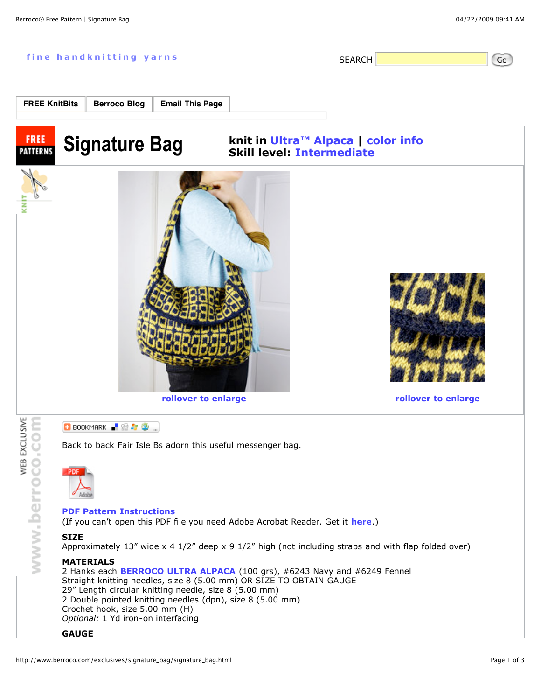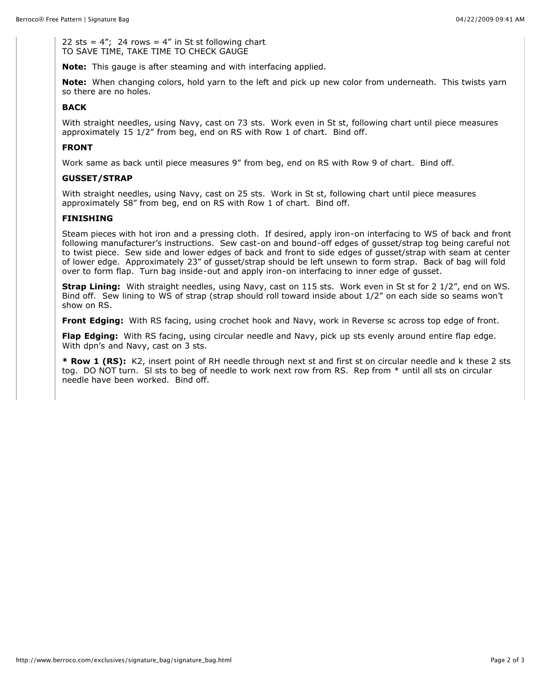22 sts =  $4$ "; 24 rows =  $4$ " in St st following chart TO SAVE TIME, TAKE TIME TO CHECK GAUGE

**Note:** This gauge is after steaming and with interfacing applied.

**Note:** When changing colors, hold yarn to the left and pick up new color from underneath. This twists yarn so there are no holes.

## **BACK**

With straight needles, using Navy, cast on 73 sts. Work even in St st, following chart until piece measures approximately 15 1/2" from beg, end on RS with Row 1 of chart. Bind off.

## **FRONT**

Work same as back until piece measures 9" from beg, end on RS with Row 9 of chart. Bind off.

## **GUSSET/STRAP**

With straight needles, using Navy, cast on 25 sts. Work in St st, following chart until piece measures approximately 58" from beg, end on RS with Row 1 of chart. Bind off.

## **FINISHING**

Steam pieces with hot iron and a pressing cloth. If desired, apply iron-on interfacing to WS of back and front following manufacturer's instructions. Sew cast-on and bound-off edges of gusset/strap tog being careful not to twist piece. Sew side and lower edges of back and front to side edges of gusset/strap with seam at center of lower edge. Approximately 23" of gusset/strap should be left unsewn to form strap. Back of bag will fold over to form flap. Turn bag inside-out and apply iron-on interfacing to inner edge of gusset.

**Strap Lining:** With straight needles, using Navy, cast on 115 sts. Work even in St st for 2 1/2", end on WS. Bind off. Sew lining to WS of strap (strap should roll toward inside about 1/2" on each side so seams won't show on RS.

**Front Edging:** With RS facing, using crochet hook and Navy, work in Reverse sc across top edge of front.

**Flap Edging:** With RS facing, using circular needle and Navy, pick up sts evenly around entire flap edge. With dpn's and Navy, cast on 3 sts.

**\* Row 1 (RS):** K2, insert point of RH needle through next st and first st on circular needle and k these 2 sts tog. DO NOT turn. Sl sts to beg of needle to work next row from RS. Rep from \* until all sts on circular needle have been worked. Bind off.